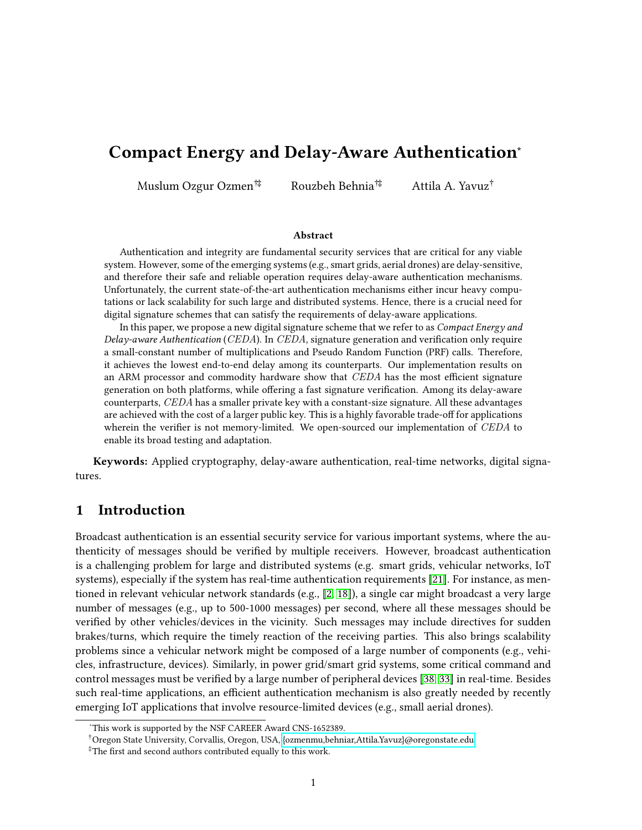# Compact Energy and Delay-Aware Authentication<sup>∗</sup>

Muslum Ozgur Ozmen†‡ Rouzbeh Behnia†‡ Attila A. Yavuz†

#### Abstract

Authentication and integrity are fundamental security services that are critical for any viable system. However, some of the emerging systems (e.g., smart grids, aerial drones) are delay-sensitive, and therefore their safe and reliable operation requires delay-aware authentication mechanisms. Unfortunately, the current state-of-the-art authentication mechanisms either incur heavy computations or lack scalability for such large and distributed systems. Hence, there is a crucial need for digital signature schemes that can satisfy the requirements of delay-aware applications.

In this paper, we propose a new digital signature scheme that we refer to as  $Compat Energy and$ Delay-aware Authentication (CEDA). In CEDA, signature generation and verification only require a small-constant number of multiplications and Pseudo Random Function (PRF) calls. Therefore, it achieves the lowest end-to-end delay among its counterparts. Our implementation results on an ARM processor and commodity hardware show that  $CEDA$  has the most efficient signature generation on both platforms, while offering a fast signature verification. Among its delay-aware counterparts, CEDA has a smaller private key with a constant-size signature. All these advantages are achieved with the cost of a larger public key. This is a highly favorable trade-off for applications wherein the verifier is not memory-limited. We open-sourced our implementation of  $CEDA$  to enable its broad testing and adaptation.

Keywords: Applied cryptography, delay-aware authentication, real-time networks, digital signatures.

## 1 Introduction

Broadcast authentication is an essential security service for various important systems, where the authenticity of messages should be verified by multiple receivers. However, broadcast authentication is a challenging problem for large and distributed systems (e.g. smart grids, vehicular networks, IoT systems), especially if the system has real-time authentication requirements [\[21\]](#page-15-0). For instance, as mentioned in relevant vehicular network standards (e.g., [\[2,](#page-13-0) [18\]](#page-15-1)), a single car might broadcast a very large number of messages (e.g., up to 500-1000 messages) per second, where all these messages should be verified by other vehicles/devices in the vicinity. Such messages may include directives for sudden brakes/turns, which require the timely reaction of the receiving parties. This also brings scalability problems since a vehicular network might be composed of a large number of components (e.g., vehicles, infrastructure, devices). Similarly, in power grid/smart grid systems, some critical command and control messages must be verified by a large number of peripheral devices [\[38,](#page-16-0) [33\]](#page-16-1) in real-time. Besides such real-time applications, an efficient authentication mechanism is also greatly needed by recently emerging IoT applications that involve resource-limited devices (e.g., small aerial drones).

<sup>∗</sup>This work is supported by the NSF CAREER Award CNS-1652389.

<sup>†</sup>Oregon State University, Corvallis, Oregon, USA, [{ozmenmu,behniar,Attila.Yavuz}@oregonstate.edu](mailto:)

 $*$ The first and second authors contributed equally to this work.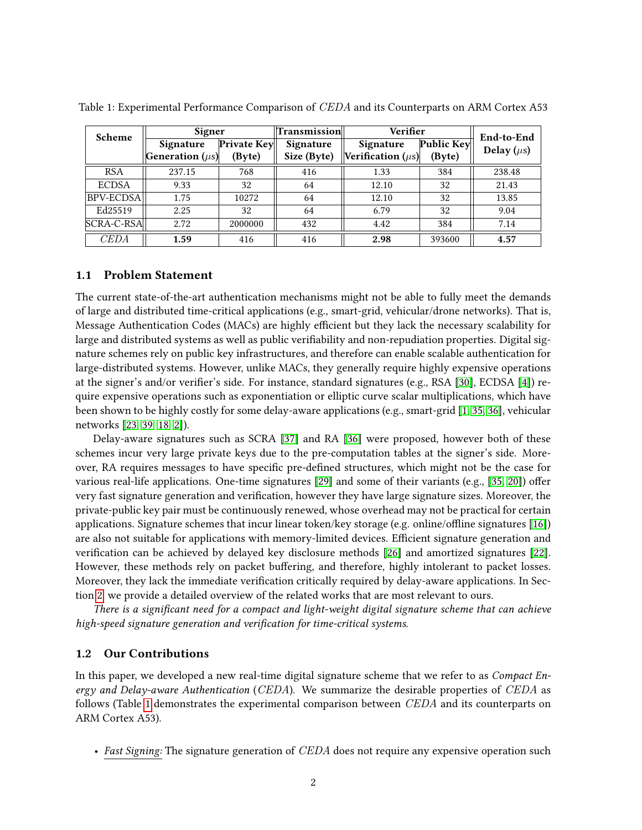| Scheme           | Signer                       |             | Transmission | Verifier               |            | End-to-End      |
|------------------|------------------------------|-------------|--------------|------------------------|------------|-----------------|
|                  | Signature                    | Private Key | Signature    | Signature              | Public Key | Delay $(\mu s)$ |
|                  | <b>Generation</b> ( $\mu$ s) | (Byte)      | Size (Byte)  | Verification $(\mu s)$ | (Byte)     |                 |
| <b>RSA</b>       | 237.15                       | 768         | 416          | 1.33                   | 384        | 238.48          |
| <b>ECDSA</b>     | 9.33                         | 32          | 64           | 12.10                  | 32         | 21.43           |
| <b>BPV-ECDSA</b> | 1.75                         | 10272       | 64           | 12.10                  | 32         | 13.85           |
| Ed25519          | 2.25                         | 32          | 64           | 6.79                   | 32         | 9.04            |
| SCRA-C-RSA       | 2.72                         | 2000000     | 432          | 4.42                   | 384        | 7.14            |
| CEDA             | 1.59                         | 416         | 416          | 2.98                   | 393600     | 4.57            |

<span id="page-1-0"></span>Table 1: Experimental Performance Comparison of CEDA and its Counterparts on ARM Cortex A53

### 1.1 Problem Statement

The current state-of-the-art authentication mechanisms might not be able to fully meet the demands of large and distributed time-critical applications (e.g., smart-grid, vehicular/drone networks). That is, Message Authentication Codes (MACs) are highly efficient but they lack the necessary scalability for large and distributed systems as well as public verifiability and non-repudiation properties. Digital signature schemes rely on public key infrastructures, and therefore can enable scalable authentication for large-distributed systems. However, unlike MACs, they generally require highly expensive operations at the signer's and/or verifier's side. For instance, standard signatures (e.g., RSA [\[30\]](#page-15-2), ECDSA [\[4\]](#page-14-0)) require expensive operations such as exponentiation or elliptic curve scalar multiplications, which have been shown to be highly costly for some delay-aware applications (e.g., smart-grid [\[1,](#page-13-1) [35,](#page-16-2) [36\]](#page-16-3), vehicular networks [\[23,](#page-15-3) [39,](#page-16-4) [18,](#page-15-1) [2\]](#page-13-0)).

Delay-aware signatures such as SCRA [\[37\]](#page-16-5) and RA [\[36\]](#page-16-3) were proposed, however both of these schemes incur very large private keys due to the pre-computation tables at the signer's side. Moreover, RA requires messages to have specific pre-defined structures, which might not be the case for various real-life applications. One-time signatures  $[29]$  and some of their variants (e.g.,  $[35, 20]$  $[35, 20]$ ) offer very fast signature generation and verification, however they have large signature sizes. Moreover, the private-public key pair must be continuously renewed, whose overhead may not be practical for certain applications. Signature schemes that incur linear token/key storage (e.g. online/offline signatures  $[16]$ ) are also not suitable for applications with memory-limited devices. Efficient signature generation and verification can be achieved by delayed key disclosure methods  $[26]$  and amortized signatures  $[22]$ . However, these methods rely on packet buffering, and therefore, highly intolerant to packet losses. Moreover, they lack the immediate verification critically required by delay-aware applications. In Section [2,](#page-2-0) we provide a detailed overview of the related works that are most relevant to ours.

There is a significant need for a compact and light-weight digital signature scheme that can achieve high-speed signature generation and verification for time-critical systems.

### <span id="page-1-1"></span>1.2 Our Contributions

In this paper, we developed a new real-time digital signature scheme that we refer to as Compact Energy and Delay-aware Authentication (CEDA). We summarize the desirable properties of CEDA as follows (Table [1](#page-1-0) demonstrates the experimental comparison between  $\mathit{CEDA}$  and its counterparts on ARM Cortex A53).

• Fast Signing: The signature generation of CEDA does not require any expensive operation such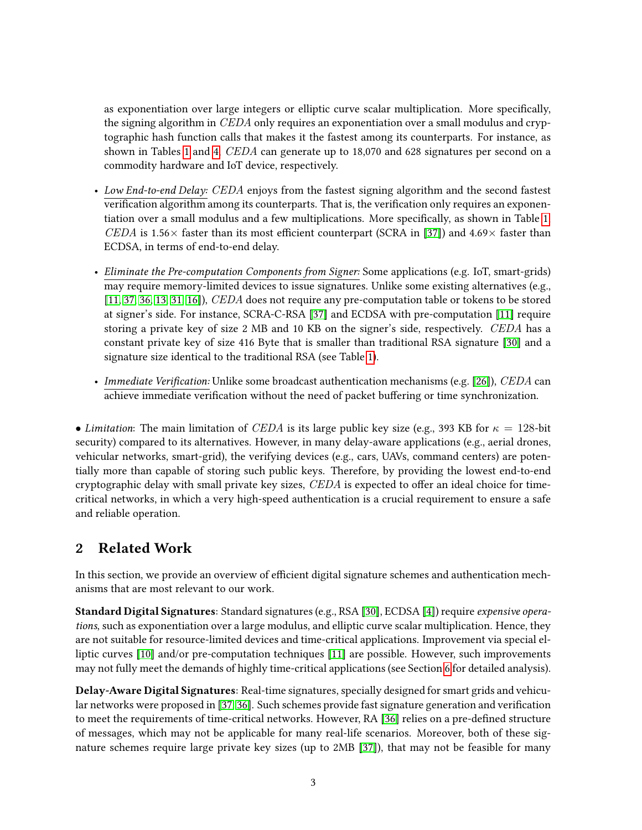as exponentiation over large integers or elliptic curve scalar multiplication. More specifically, the signing algorithm in CEDA only requires an exponentiation over a small modulus and cryptographic hash function calls that makes it the fastest among its counterparts. For instance, as shown in Tables [1](#page-1-0) and [4,](#page-12-0) CEDA can generate up to 18,070 and 628 signatures per second on a commodity hardware and IoT device, respectively.

- Low End-to-end Delay: CEDA enjoys from the fastest signing algorithm and the second fastest verification algorithm among its counterparts. That is, the verification only requires an exponen-tiation over a small modulus and a few multiplications. More specifically, as shown in Table [1,](#page-1-0) CEDA is 1.56 $\times$  faster than its most efficient counterpart (SCRA in [\[37\]](#page-16-5)) and 4.69 $\times$  faster than ECDSA, in terms of end-to-end delay.
- Eliminate the Pre-computation Components from Signer: Some applications (e.g. IoT, smart-grids) may require memory-limited devices to issue signatures. Unlike some existing alternatives (e.g., [\[11,](#page-14-2) [37,](#page-16-5) [36,](#page-16-3) [13,](#page-14-3) [31,](#page-16-6) [16\]](#page-14-1)), *CEDA* does not require any pre-computation table or tokens to be stored at signer's side. For instance, SCRA-C-RSA [\[37\]](#page-16-5) and ECDSA with pre-computation [\[11\]](#page-14-2) require storing a private key of size 2 MB and 10 KB on the signer's side, respectively. CEDA has a constant private key of size 416 Byte that is smaller than traditional RSA signature [\[30\]](#page-15-2) and a signature size identical to the traditional RSA (see Table [1\)](#page-1-0).
- Immediate Verification: Unlike some broadcast authentication mechanisms (e.g. [\[26\]](#page-15-6)), CEDA can achieve immediate verification without the need of packet buffering or time synchronization.

• Limitation: The main limitation of CEDA is its large public key size (e.g., 393 KB for  $\kappa = 128$ -bit security) compared to its alternatives. However, in many delay-aware applications (e.g., aerial drones, vehicular networks, smart-grid), the verifying devices (e.g., cars, UAVs, command centers) are potentially more than capable of storing such public keys. Therefore, by providing the lowest end-to-end cryptographic delay with small private key sizes, CEDA is expected to offer an ideal choice for timecritical networks, in which a very high-speed authentication is a crucial requirement to ensure a safe and reliable operation.

# <span id="page-2-0"></span>2 Related Work

In this section, we provide an overview of efficient digital signature schemes and authentication mechanisms that are most relevant to our work.

Standard Digital Signatures: Standard signatures (e.g., RSA [\[30\]](#page-15-2), ECDSA [\[4\]](#page-14-0)) require expensive operations, such as exponentiation over a large modulus, and elliptic curve scalar multiplication. Hence, they are not suitable for resource-limited devices and time-critical applications. Improvement via special elliptic curves [\[10\]](#page-14-4) and/or pre-computation techniques [\[11\]](#page-14-2) are possible. However, such improvements may not fully meet the demands of highly time-critical applications (see Section [6](#page-9-0) for detailed analysis).

Delay-Aware Digital Signatures: Real-time signatures, specially designed for smart grids and vehicu-lar networks were proposed in [\[37,](#page-16-5) [36\]](#page-16-3). Such schemes provide fast signature generation and verification to meet the requirements of time-critical networks. However, RA [\[36\]](#page-16-3) relies on a pre-defined structure of messages, which may not be applicable for many real-life scenarios. Moreover, both of these signature schemes require large private key sizes (up to 2MB [\[37\]](#page-16-5)), that may not be feasible for many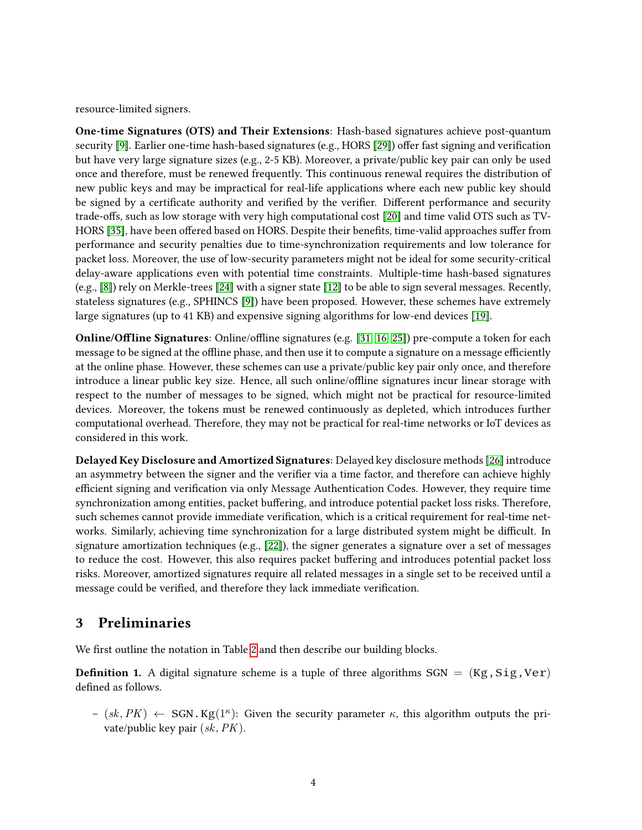resource-limited signers.

One-time Signatures (OTS) and Their Extensions: Hash-based signatures achieve post-quantum security [\[9\]](#page-14-5). Earlier one-time hash-based signatures (e.g., HORS [\[29\]](#page-15-4)) offer fast signing and verification but have very large signature sizes (e.g., 2-5 KB). Moreover, a private/public key pair can only be used once and therefore, must be renewed frequently. This continuous renewal requires the distribution of new public keys and may be impractical for real-life applications where each new public key should be signed by a certificate authority and verified by the verifier. Different performance and security trade-offs, such as low storage with very high computational cost [\[20\]](#page-15-5) and time valid OTS such as TV-HORS [\[35\]](#page-16-2), have been offered based on HORS. Despite their benefits, time-valid approaches suffer from performance and security penalties due to time-synchronization requirements and low tolerance for packet loss. Moreover, the use of low-security parameters might not be ideal for some security-critical delay-aware applications even with potential time constraints. Multiple-time hash-based signatures (e.g., [\[8\]](#page-14-6)) rely on Merkle-trees [\[24\]](#page-15-8) with a signer state [\[12\]](#page-14-7) to be able to sign several messages. Recently, stateless signatures (e.g., SPHINCS [\[9\]](#page-14-5)) have been proposed. However, these schemes have extremely large signatures (up to 41 KB) and expensive signing algorithms for low-end devices [\[19\]](#page-15-9).

**Online/Offline Signatures:** Online/offline signatures (e.g. [\[31,](#page-16-6) [16,](#page-14-1) [25\]](#page-15-10)) pre-compute a token for each message to be signed at the offline phase, and then use it to compute a signature on a message efficiently at the online phase. However, these schemes can use a private/public key pair only once, and therefore introduce a linear public key size. Hence, all such online/offline signatures incur linear storage with respect to the number of messages to be signed, which might not be practical for resource-limited devices. Moreover, the tokens must be renewed continuously as depleted, which introduces further computational overhead. Therefore, they may not be practical for real-time networks or IoT devices as considered in this work.

Delayed Key Disclosure and Amortized Signatures: Delayed key disclosure methods [\[26\]](#page-15-6) introduce an asymmetry between the signer and the verifier via a time factor, and therefore can achieve highly efficient signing and verification via only Message Authentication Codes. However, they require time synchronization among entities, packet buffering, and introduce potential packet loss risks. Therefore, such schemes cannot provide immediate verification, which is a critical requirement for real-time networks. Similarly, achieving time synchronization for a large distributed system might be difficult. In signature amortization techniques (e.g., [\[22\]](#page-15-7)), the signer generates a signature over a set of messages to reduce the cost. However, this also requires packet buffering and introduces potential packet loss risks. Moreover, amortized signatures require all related messages in a single set to be received until a message could be verified, and therefore they lack immediate verification.

# 3 Preliminaries

We first outline the notation in Table [2](#page-4-0) and then describe our building blocks.

**Definition 1.** A digital signature scheme is a tuple of three algorithms  $SGN = (Kg, Sig, Ver)$ defined as follows.

 $-(sk, PK) \leftarrow \text{SGN.Kg}(1^{\kappa})$ : Given the security parameter  $\kappa$ , this algorithm outputs the private/public key pair  $(sk, PK)$ .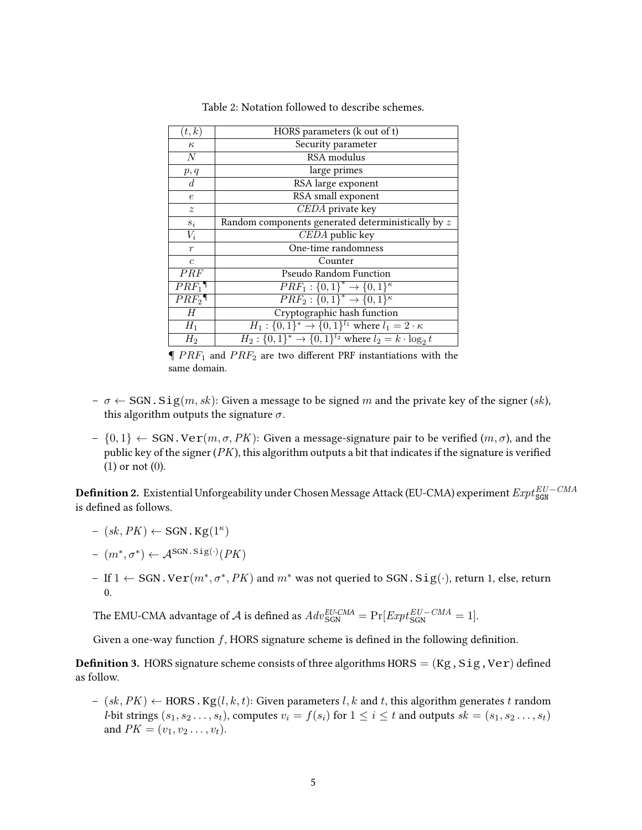<span id="page-4-0"></span>

| (t,k)            | HORS parameters (k out of t)                                      |
|------------------|-------------------------------------------------------------------|
| $\kappa$         | Security parameter                                                |
| N                | RSA modulus                                                       |
| p, q             | large primes                                                      |
| $d_{\cdot}$      | RSA large exponent                                                |
| $\epsilon$       | RSA small exponent                                                |
| $\boldsymbol{z}$ | CEDA private key                                                  |
| $s_i$            | Random components generated deterministically by $z$              |
| $V_i$            | CEDA public key                                                   |
| $\boldsymbol{r}$ | One-time randomness                                               |
| $\overline{c}$   | Counter                                                           |
| PRF              | <b>Pseudo Random Function</b>                                     |
| $PRF_1$          | $PRF_1: \{0,1\}^* \rightarrow \{0,1\}^{\kappa}$                   |
| $PRF_2$          | $PRF_2: \{0,1\}^* \rightarrow \{0,1\}^{\kappa}$                   |
| H                | Cryptographic hash function                                       |
| $H_1$            | $H_1: \{0,1\}^* \to \{0,1\}^{l_1}$ where $l_1 = 2 \cdot \kappa$   |
| $H_2$            | $H_2: \{0,1\}^* \to \{0,1\}^{l_2}$ where $l_2 = k \cdot \log_2 t$ |

Table 2: Notation followed to describe schemes.

 $\P PRF_1$  and  $PRF_2$  are two different PRF instantiations with the same domain.

- $-\sigma \leftarrow$  SGN. Sig $(m, sk)$ : Given a message to be signed m and the private key of the signer (sk), this algorithm outputs the signature  $\sigma$ .
- $\{0, 1\} \leftarrow \text{SGN. Ver}(m, \sigma, PK)$ : Given a message-signature pair to be verified  $(m, \sigma)$ , and the public key of the signer  $(PK)$ , this algorithm outputs a bit that indicates if the signature is verified (1) or not (0).

<span id="page-4-1"></span> ${\bf Definition~2.~Existential~Unforgeability~under~Chosen~Message~Attack~(EU-CMA)~experiment~Expt^{EU-CMA}_{\tt SGN}$ is defined as follows.

- $-(sk, PK) \leftarrow$  SGN. Kg(1<sup> $\kappa$ </sup>)
- $(m^*, \sigma^*) \leftarrow \mathcal{A}^{\text{SGN.Sig}(\cdot)}(PK)$
- If 1 ← SGN.Ve $\textbf{r}(m^*, \sigma^*, PK)$  and  $m^*$  was not queried to SGN. Sig(·), return 1, else, return 0.

The EMU-CMA advantage of  ${\cal A}$  is defined as  $Adv_{\rm SGN}^{EU-CMA} = \Pr[Exp t_{\rm SGN}^{EU-CMA} = 1].$ 

Given a one-way function  $f$ , HORS signature scheme is defined in the following definition.

<span id="page-4-2"></span>**Definition 3.** HORS signature scheme consists of three algorithms HORS =  $(Kg, Sig,Ver)$  defined as follow.

 $-(sk, PK) \leftarrow HORS.Kg(l, k, t)$ : Given parameters l, k and t, this algorithm generates t random *l*-bit strings  $(s_1, s_2 \ldots, s_t)$ , computes  $v_i = f(s_i)$  for  $1 \leq i \leq t$  and outputs  $sk = (s_1, s_2 \ldots, s_t)$ and  $PK = (v_1, v_2 \ldots, v_t)$ .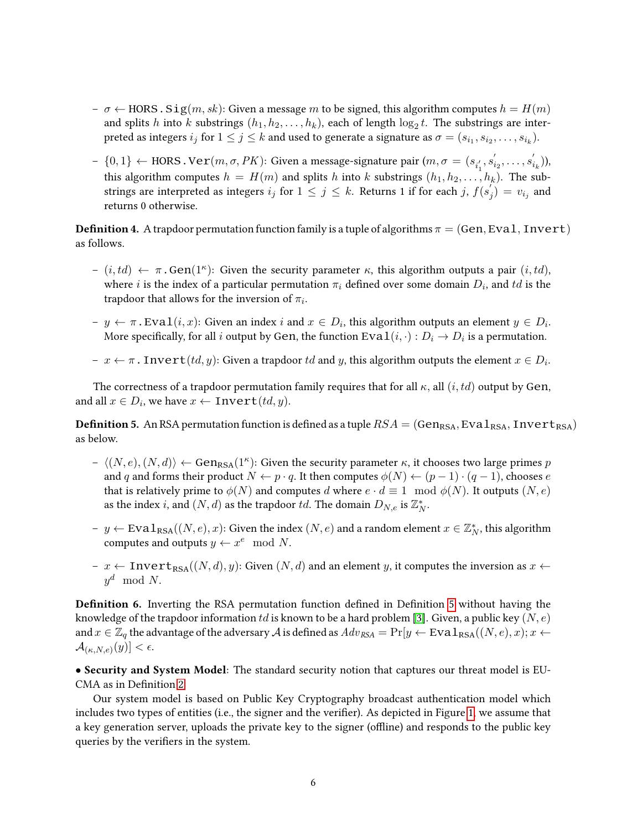- $\sigma \leftarrow \text{HORS S}$  is  $\text{Sig}(m, sk)$ : Given a message m to be signed, this algorithm computes  $h = H(m)$ and splits h into k substrings  $(h_1, h_2, \ldots, h_k)$ , each of length  $\log_2 t$ . The substrings are interpreted as integers  $i_j$  for  $1\leq j\leq k$  and used to generate a signature as  $\sigma=(s_{i_1},s_{i_2},\ldots,s_{i_k}).$
- ${0,1}$  ← HORS.Ve $\textbf{r}(m, σ, PK)$ : Given a message-signature pair  $(m, σ = (s<sub>i<sub>1</sub></sub>, s'<sub>i<sub>1</sub></sub>)$  $i_2, \ldots, s'_i$  $_{i_{k}}^{\prime}$  )), this algorithm computes  $h = H(m)$  and splits h into k substrings  $(h_1, h_2, \ldots, h_k)$ . The substrings are interpreted as integers  $i_j$  for  $1 \leq j \leq k$ . Returns 1 if for each j,  $f(s'_j)$  $j_j^{'} ) = v_{i_j}$  and returns 0 otherwise.

**Definition 4.** A trapdoor permutation function family is a tuple of algorithms  $\pi = (Gen,Eval, Invert)$ as follows.

- $(i, td) \leftarrow \pi \cdot Gen(1^{\kappa})$ : Given the security parameter  $\kappa$ , this algorithm outputs a pair  $(i, td)$ , where i is the index of a particular permutation  $\pi_i$  defined over some domain  $D_i$ , and  $td$  is the trapdoor that allows for the inversion of  $\pi_i$ .
- $y \leftarrow \pi$ . Eva $\mathbf{1}(i, x)$ : Given an index i and  $x \in D_i$ , this algorithm outputs an element  $y \in D_i$ . More specifically, for all  $i$  output by Gen, the function  $\texttt{Eval}(i, \cdot) : D_i \to D_i$  is a permutation.
- $\tau x \leftarrow \pi$  . Inv $\texttt{ert}(td, y)$ : Given a trapdoor  $td$  and  $y$ , this algorithm outputs the element  $x \in D_i$ .

The correctness of a trapdoor permutation family requires that for all  $\kappa$ , all  $(i, td)$  output by Gen, and all  $x \in D_i$ , we have  $x \leftarrow \text{Invert}(td, y)$ .

<span id="page-5-0"></span>**Definition 5.** An RSA permutation function is defined as a tuple  $RSA = (Gen_{RSA}, Eva1_{RSA}, Invert_{RSA})$ as below.

- $h = \langle (N, e), (N, d) \rangle \leftarrow \text{Gen}_{\text{RSA}}(1^{\kappa})$ : Given the security parameter  $\kappa$ , it chooses two large primes p and q and forms their product  $N \leftarrow p \cdot q$ . It then computes  $\phi(N) \leftarrow (p-1) \cdot (q-1)$ , chooses e that is relatively prime to  $\phi(N)$  and computes d where  $e \cdot d \equiv 1 \mod \phi(N)$ . It outputs  $(N, e)$ as the index *i*, and  $(N, d)$  as the trapdoor *td*. The domain  $D_{N,e}$  is  $\mathbb{Z}_N^*$ .
- − y ← Eva $1_{\text{RSA}}((N, e), x)$ : Given the index  $(N, e)$  and a random element  $x \in \mathbb{Z}_N^*$ , this algorithm computes and outputs  $y \leftarrow x^e \mod N$ .
- x ← Invert<sub>RSA</sub> $((N, d), y)$ : Given  $(N, d)$  and an element y, it computes the inversion as  $x$  ←  $y^d \mod N$ .

<span id="page-5-1"></span>**Definition 6.** Inverting the RSA permutation function defined in Definition [5](#page-5-0) without having the knowledge of the trapdoor information td is known to be a hard problem [\[3\]](#page-13-2). Given, a public key  $(N, e)$ and  $x \in \mathbb{Z}_q$  the advantage of the adversary A is defined as  $Adv_{RSA} = Pr[y \leftarrow Eva1_{RSA}((N, e), x); x \leftarrow$  $\mathcal{A}_{(\kappa,N,e)}(y)] < \epsilon.$ 

• Security and System Model: The standard security notion that captures our threat model is EU-CMA as in Definition [2](#page-4-1)

Our system model is based on Public Key Cryptography broadcast authentication model which includes two types of entities (i.e., the signer and the verifier). As depicted in Figure [1,](#page-6-0) we assume that a key generation server, uploads the private key to the signer (offline) and responds to the public key queries by the verifiers in the system.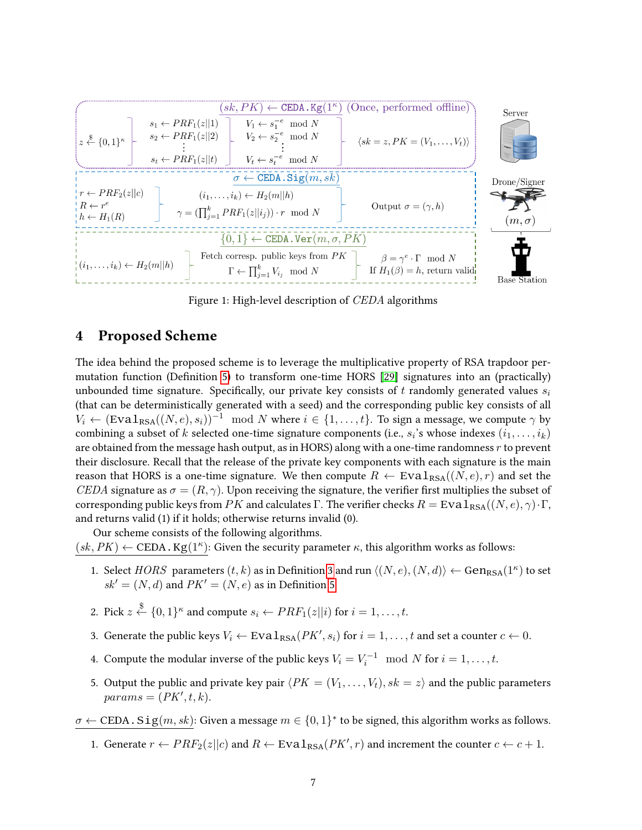<span id="page-6-0"></span>

Figure 1: High-level description of CEDA algorithms

## 4 Proposed Scheme

The idea behind the proposed scheme is to leverage the multiplicative property of RSA trapdoor per-mutation function (Definition [5\)](#page-5-0) to transform one-time HORS  $[29]$  signatures into an (practically) unbounded time signature. Specifically, our private key consists of t randomly generated values  $s_i$ (that can be deterministically generated with a seed) and the corresponding public key consists of all  $V_i \leftarrow (\text{Eval}_{\text{RSA}}((N, e), s_i))^{-1} \mod N$  where  $i \in \{1, \ldots, t\}$ . To sign a message, we compute  $\gamma$  by combining a subset of  $k$  selected one-time signature components (i.e.,  $s_i$ 's whose indexes  $(i_1,\ldots,i_k)$ are obtained from the message hash output, as in HORS) along with a one-time randomness  $r$  to prevent their disclosure. Recall that the release of the private key components with each signature is the main reason that HORS is a one-time signature. We then compute  $R \leftarrow \text{Eval}_{\text{RSA}}((N, e), r)$  and set the CEDA signature as  $\sigma = (R, \gamma)$ . Upon receiving the signature, the verifier first multiplies the subset of corresponding public keys from PK and calculates Γ. The verifier checks  $R = Exal_{RSA}((N, e), \gamma) \cdot \Gamma$ , and returns valid (1) if it holds; otherwise returns invalid (0).

Our scheme consists of the following algorithms.

 $(sk, PK) \leftarrow \text{CEDA.Kg}(1^{\kappa})$ : Given the security parameter  $\kappa$ , this algorithm works as follows:

- 1. Select  $HORS$  parameters  $(t, k)$  as in Definition [3](#page-4-2) and run  $\langle (N, e), (N, d) \rangle \leftarrow \text{Gen}_{\text{RSA}}(1^{\kappa})$  to set  $sk' = (N, d)$  and  $PK' = (N, e)$  as in Definition [5.](#page-5-0)
- 2. Pick  $z \stackrel{\$}{\leftarrow} \{0,1\}^{\kappa}$  and compute  $s_i \leftarrow PRF_1(z||i)$  for  $i = 1, \ldots, t$ .
- 3. Generate the public keys  $V_i \leftarrow \text{Eval}_{\text{RSA}}(PK', s_i)$  for  $i = 1, \ldots, t$  and set a counter  $c \leftarrow 0$ .
- 4. Compute the modular inverse of the public keys  $V_i = V_i^{-1} \mod N$  for  $i = 1, \ldots, t$ .
- 5. Output the public and private key pair  $\langle PK = (V_1, \ldots, V_t), sk = z \rangle$  and the public parameters  $params = (PK', t, k).$

 $\sigma \leftarrow \text{CEDA}$  .  $\text{Sig}(m, sk)$ : Given a message  $m \in \{0, 1\}^*$  to be signed, this algorithm works as follows.

1. Generate  $r \leftarrow PRF_2(z||c)$  and  $R \leftarrow \text{Eval}_{\text{RSA}}(PK', r)$  and increment the counter  $c \leftarrow c + 1$ .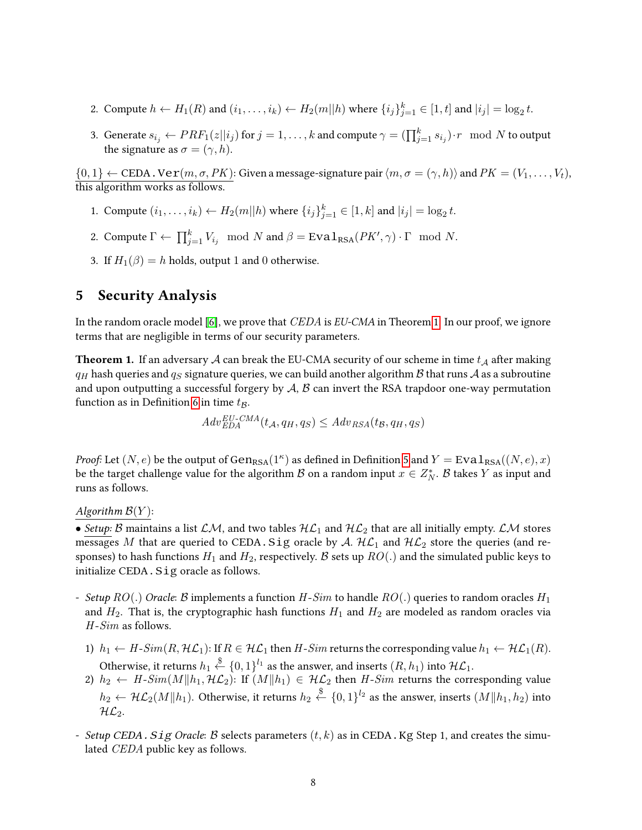- 2. Compute  $h \leftarrow H_1(R)$  and  $(i_1, \ldots, i_k) \leftarrow H_2(m||h)$  where  $\{i_j\}_{j=1}^k \in [1, t]$  and  $|i_j| = \log_2 t$ .
- 3. Generate  $s_{i_j}\gets PRF_1(z||i_j)$  for  $j=1,\ldots,k$  and compute  $\gamma=(\prod_{j=1}^ks_{i_j})\cdot r\mod N$  to output the signature as  $\sigma = (\gamma, h)$ .

 $\{0,1\} \leftarrow \text{CEDA}$ .  $\text{Ver}(m, \sigma, PK)$ : Given a message-signature pair  $\langle m, \sigma = (\gamma, h) \rangle$  and  $PK = (V_1, \ldots, V_t)$ , this algorithm works as follows.

- 1. Compute  $(i_1, ..., i_k) \leftarrow H_2(m||h)$  where  $\{i_j\}_{j=1}^k \in [1, k]$  and  $|i_j| = \log_2 t$ .
- 2. Compute  $\Gamma \leftarrow \prod_{j=1}^k V_{i_j} \mod N$  and  $\beta = \text{Eval}_{\text{RSA}}(PK', \gamma) \cdot \Gamma \mod N$ .
- 3. If  $H_1(\beta) = h$  holds, output 1 and 0 otherwise.

# <span id="page-7-1"></span>5 Security Analysis

In the random oracle model [\[6\]](#page-14-8), we prove that  $CEDA$  is  $EU-CMA$  in Theorem [1.](#page-7-0) In our proof, we ignore terms that are negligible in terms of our security parameters.

<span id="page-7-0"></span>**Theorem 1.** If an adversary A can break the EU-CMA security of our scheme in time  $t_A$  after making  $q_H$  hash queries and  $q_S$  signature queries, we can build another algorithm B that runs A as a subroutine and upon outputting a successful forgery by  $A$ ,  $B$  can invert the RSA trapdoor one-way permutation function as in Definition [6](#page-5-1) in time  $t_B$ .

$$
Adv_{EDA}^{EU-CMA}(t_A, q_H, q_S) \le Adv_{RSA}(t_B, q_H, q_S)
$$

*Proof:* Let  $(N, e)$  be the output of  $\text{Gen}_{\text{RSA}}(1^{\kappa})$  as defined in Definition [5](#page-5-0) and  $Y = \text{Eval}_{\text{RSA}}((N, e), x)$ be the target challenge value for the algorithm  $\mathcal B$  on a random input  $x\in Z_N^*$ .  $\mathcal B$  takes  $Y$  as input and runs as follows.

Algorithm  $\mathcal{B}(Y)$ :

• Setup: B maintains a list  $\mathcal{LM}$ , and two tables  $\mathcal{HL}_1$  and  $\mathcal{HL}_2$  that are all initially empty.  $\mathcal{LM}$  stores messages M that are queried to CEDA. Sig oracle by A.  $HL_1$  and  $HL_2$  store the queries (and responses) to hash functions  $H_1$  and  $H_2$ , respectively. B sets up  $RO(.)$  and the simulated public keys to initialize CEDA. Sig oracle as follows.

- Setup  $RO(.)$  Oracle: B implements a function  $H-Sim$  to handle  $RO(.)$  queries to random oracles  $H_1$ and  $H_2$ . That is, the cryptographic hash functions  $H_1$  and  $H_2$  are modeled as random oracles via  $H-Sim$  as follows.
	- 1)  $h_1 \leftarrow H\text{-}Sim(R, \mathcal{HL}_1)$ : If  $R \in \mathcal{HL}_1$  then  $H\text{-}Sim$  returns the corresponding value  $h_1 \leftarrow \mathcal{HL}_1(R)$ . Otherwise, it returns  $h_1 \overset{\$}{\leftarrow} \{0,1\}^{l_1}$  as the answer, and inserts  $(R,h_1)$  into  $\mathcal{HL}_1.$
	- 2)  $h_2\leftarrow H$ - $Sim(M\|h_1,\mathcal{HL}_2)$ : If  $(M\|h_1)\in\mathcal{HL}_2$  then  $H$ - $Sim$  returns the corresponding value  $h_2\gets\mathcal{HL}_2(M\|h_1).$  Otherwise, it returns  $h_2\overset{\$}{\leftarrow}\{0,1\}^{l_2}$  as the answer, inserts  $(M\|h_1,h_2)$  into  $HL_2$ .
- Setup CEDA. Sig Oracle: B selects parameters  $(t, k)$  as in CEDA. Kg Step 1, and creates the simulated CEDA public key as follows.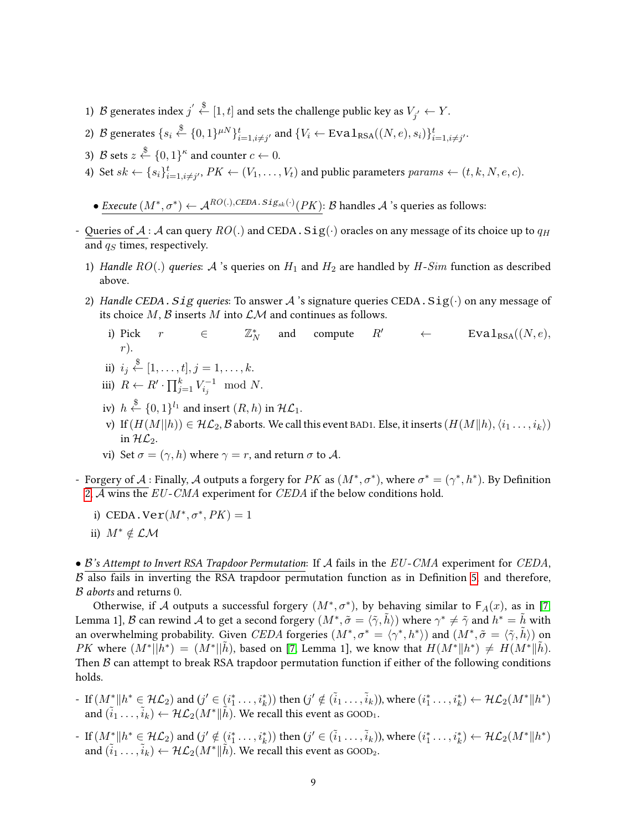- 1)  $\mathcal B$  generates index  $j^{'} \stackrel{\$}{\leftarrow} [1,t]$  and sets the challenge public key as  $V_{j^{'}} \leftarrow Y.$
- 2) B generates  $\{s_i \stackrel{\$}{\leftarrow} \{0,1\}^{\mu N}\}_{i=1,i\neq j'}^t$  and  $\{V_i \leftarrow \text{Eval}_{\text{RSA}}((N,e), s_i)\}_{i=1,i\neq j'}^t$ .
- 3)  ${\mathcal{B}}$  sets  $z \stackrel{\$}{\leftarrow} \{0,1\}^{\kappa}$  and counter  $c \leftarrow 0.$
- 4) Set  $sk \leftarrow \{s_i\}_{i=1, i\neq j'}^t$ ,  $PK \leftarrow (V_1, \ldots, V_t)$  and public parameters  $params \leftarrow (t, k, N, e, c)$ .
	- Execute  $(M^*, \sigma^*) \leftarrow \mathcal{A}^{RO(.), CEDA.\,Sig_{sk}(\cdot)}(PK)$ : B handles  $\mathcal A$  's queries as follows:
- Queries of  $A : A$  can query  $RO(.)$  and CEDA. Sig( $\cdot$ ) oracles on any message of its choice up to  $q_H$ and  $q<sub>S</sub>$  times, respectively.
	- 1) Handle  $RO(.)$  queries: A 's queries on  $H_1$  and  $H_2$  are handled by  $H-Sim$  function as described above.
	- 2) Handle CEDA. Sig queries: To answer A 's signature queries CEDA.  $Sig(\cdot)$  on any message of its choice  $M$ ,  $\beta$  inserts  $M$  into  $\mathcal{L}M$  and continues as follows.
		- i) Pick  $r \in$  $\mathbb{Z}_N^*$ and compute  $R'$  ← Eval<sub>RSA</sub>( $(N, e)$ , r).

ii) 
$$
i_j \stackrel{\$}{\leftarrow} [1, \ldots, t], j = 1, \ldots, k.
$$

- iii)  $R \leftarrow R' \cdot \prod_{j=1}^{k} V_{i_j}^{-1} \mod N$ .
- iv)  $h \stackrel{\$}{\leftarrow} \{0,1\}^{l_1}$  and insert  $(R,h)$  in  $\mathcal{HL}_1$ .
- v) If  $(H(M||h)) \in \mathcal{HL}_2$ ,  $\mathcal B$  aborts. We call this event BAD1. Else, it inserts  $(H(M||h), \langle i_1, \ldots, i_k\rangle)$ in  $H\mathcal{L}_2$ .
- vi) Set  $\sigma = (\gamma, h)$  where  $\gamma = r$ , and return  $\sigma$  to A.
- Forgery of A : Finally, A outputs a forgery for PK as  $(M^*, \sigma^*)$ , where  $\sigma^* = (\gamma^*, h^*)$ . By Definition [2,](#page-4-1)  $\overline{A}$  wins the EU-CMA experiment for CEDA if the below conditions hold.
	- i) CEDA.  $\text{Ver}(M^*, \sigma^*, PK) = 1$
	- ii)  $M^* \notin \mathcal{LM}$

•  $\beta$ 's Attempt to Invert RSA Trapdoor Permutation: If A fails in the EU-CMA experiment for CEDA,  $\beta$  also fails in inverting the RSA trapdoor permutation function as in Definition [5,](#page-5-0) and therefore, B aborts and returns 0.

Otherwise, if A outputs a successful forgery  $(M^*, \sigma^*)$ , by behaving similar to  $\mathsf{F}_A(x)$ , as in [\[7,](#page-14-9) Lemma 1],  ${\cal B}$  can rewind  ${\cal A}$  to get a second forgery  $(M^*,\tilde{\sigma}=\langle \tilde{\gamma},\tilde{h}\rangle)$  where  $\gamma^*\neq\tilde{\gamma}$  and  $h^*=\tilde{h}$  with an overwhelming probability. Given CEDA forgeries  $(M^*, \sigma^* = \langle \gamma^*, h^* \rangle)$  and  $(M^*, \tilde{\sigma} = \langle \tilde{\gamma}, \tilde{h} \rangle)$  on *PK* where  $(M^*|| \tilde{h}^*) = (M^*|| \tilde{h})$ , based on [\[7,](#page-14-9) Lemma 1], we know that  $H(M^*|| h^*) \neq H(M^*|| \tilde{h})$ . Then  $\beta$  can attempt to break RSA trapdoor permutation function if either of the following conditions holds.

- If  $(M^*_{\leq} \| h^* \in \mathcal{HL}_2)$  and  $(j' \in (i^*_1, \ldots, i^*_k))$  then  $(j' \notin (\tilde{i}_1, \ldots, \tilde{i}_k))$ , where  $(i^*_1, \ldots, i^*_k) \leftarrow \mathcal{HL}_2(M^* \| h^*)$ and  $(\tilde{i}_1 \dots, \tilde{i}_k) \leftarrow \mathcal{HL}_2(M^*\Vert \tilde{h}).$  We recall this event as GOOD<sub>1</sub>.
- If  $(M^*_{\leq} \| h^* \in \mathcal{HL}_2)$  and  $(j' \notin (i^*_1, \ldots, i^*_k))$  then  $(j' \in (\tilde{i}_1, \ldots, \tilde{i}_k))$ , where  $(i^*_1, \ldots, i^*_k) \leftarrow \mathcal{HL}_2(M^* \| h^*)$ and  $(\tilde{i}_1 \dots, \tilde{i}_k) \leftarrow \mathcal{HL}_2(M^*\|\tilde{h})$ . We recall this event as GOOD2.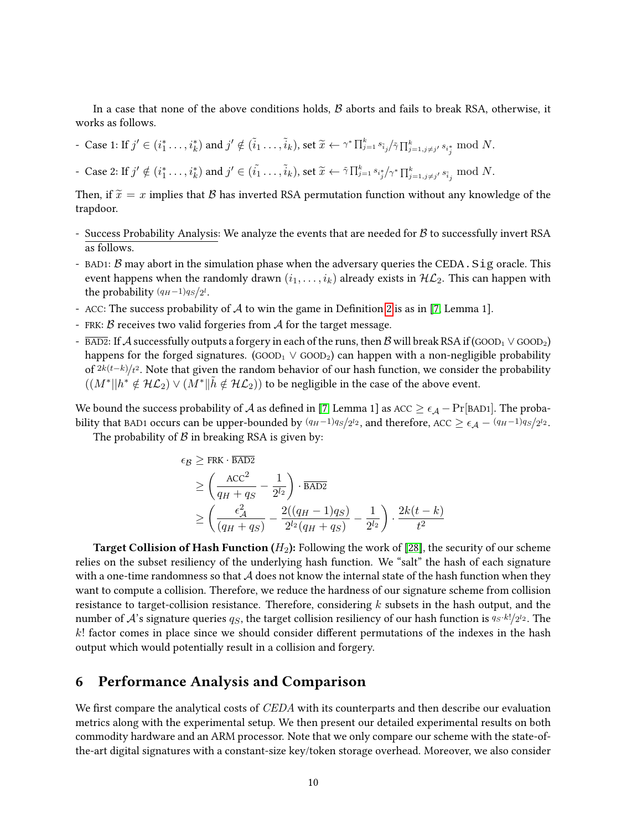In a case that none of the above conditions holds,  $\beta$  aborts and fails to break RSA, otherwise, it works as follows.

- Case 1: If  $j' \in (i_1^*, \ldots, i_k^*)$  and  $j' \notin (\tilde{i}_1, \ldots, \tilde{i}_k)$ , set  $\tilde{x} \leftarrow \gamma^* \prod_{j=1}^k s_{\tilde{i}_j}/\tilde{\gamma} \prod_{j=1, j \neq j'}^k s_{i_j^*} \mod N$ .

- Case 2: If  $j' \notin (i_1^*, \ldots, i_k^*)$  and  $j' \in (i_1^*, \ldots, i_k)$ , set  $\widetilde{x} \leftarrow \widetilde{\gamma} \prod_{j=1}^k s_{i_j^*}/\gamma^* \prod_{j=1, j \neq j'}^k s_{\widetilde{i}_j} \mod N$ .

Then, if  $\tilde{x} = x$  implies that B has inverted RSA permutation function without any knowledge of the trapdoor.

- Success Probability Analysis: We analyze the events that are needed for  $\beta$  to successfully invert RSA as follows.
- BAD1:  $\beta$  may abort in the simulation phase when the adversary queries the CEDA. Sig oracle. This event happens when the randomly drawn  $(i_1, \ldots, i_k)$  already exists in  $H\mathcal{L}_2$ . This can happen with the probability  $(q_H-1)q_S/2^l$ .
- ACC: The success probability of  $A$  to win the game in Definition [2](#page-4-1) is as in [\[7,](#page-14-9) Lemma 1].
- FRK:  $\beta$  receives two valid forgeries from  $\mathcal A$  for the target message.
- $\overline{BAD2}:$  If A successfully outputs a forgery in each of the runs, then B will break RSA if (GOOD<sub>1</sub>  $\vee$  GOOD<sub>2</sub>) happens for the forged signatures. (GOOD<sub>1</sub>  $\vee$  GOOD<sub>2</sub>) can happen with a non-negligible probability of  $2k(t-k)/t^2$ . Note that given the random behavior of our hash function, we consider the probability  $((M^*||h^*\notin {\cal H}{\cal L}_2) \vee (\tilde{M}^*|| \tilde{h}\notin {\cal H}{\cal L}_2))$  to be negligible in the case of the above event.

We bound the success probability of A as defined in [\[7,](#page-14-9) Lemma 1] as  $ACC \geq \epsilon_{\mathcal{A}}$  – Pr[BAD1]. The probability that BAD1 occurs can be upper-bounded by  $(q_H-1)q_S/2^{l_2}$ , and therefore, ACC  $\geq \epsilon_{\cal A}-(q_H-1)q_S/2^{l_2}$ .

The probability of  $\beta$  in breaking RSA is given by:

$$
\epsilon_{\mathcal{B}} \ge \text{FRK} \cdot \frac{\overline{\text{BAD2}}}{\overline{\text{BAD2}}}
$$
  
\n
$$
\ge \left(\frac{\text{ACC}^2}{q_H + q_S} - \frac{1}{2^{l_2}}\right) \cdot \frac{\overline{\text{BAD2}}}{\overline{\text{BAD2}}}
$$
  
\n
$$
\ge \left(\frac{\epsilon_A^2}{(q_H + q_S)} - \frac{2((q_H - 1)q_S)}{2^{l_2}(q_H + q_S)} - \frac{1}{2^{l_2}}\right) \cdot \frac{2k(t - k)}{t^2}
$$

**Target Collision of Hash Function** ( $H_2$ ): Following the work of [\[28\]](#page-15-11), the security of our scheme relies on the subset resiliency of the underlying hash function. We "salt" the hash of each signature with a one-time randomness so that  $A$  does not know the internal state of the hash function when they want to compute a collision. Therefore, we reduce the hardness of our signature scheme from collision resistance to target-collision resistance. Therefore, considering  $k$  subsets in the hash output, and the number of  ${\cal A}$ 's signature queries  $q_S$ , the target collision resiliency of our hash function is  $q_S\cdot k!/_{2^{l_2}}.$  The  $k!$  factor comes in place since we should consider different permutations of the indexes in the hash output which would potentially result in a collision and forgery.

## <span id="page-9-0"></span>6 Performance Analysis and Comparison

We first compare the analytical costs of  $CEDA$  with its counterparts and then describe our evaluation metrics along with the experimental setup. We then present our detailed experimental results on both commodity hardware and an ARM processor. Note that we only compare our scheme with the state-ofthe-art digital signatures with a constant-size key/token storage overhead. Moreover, we also consider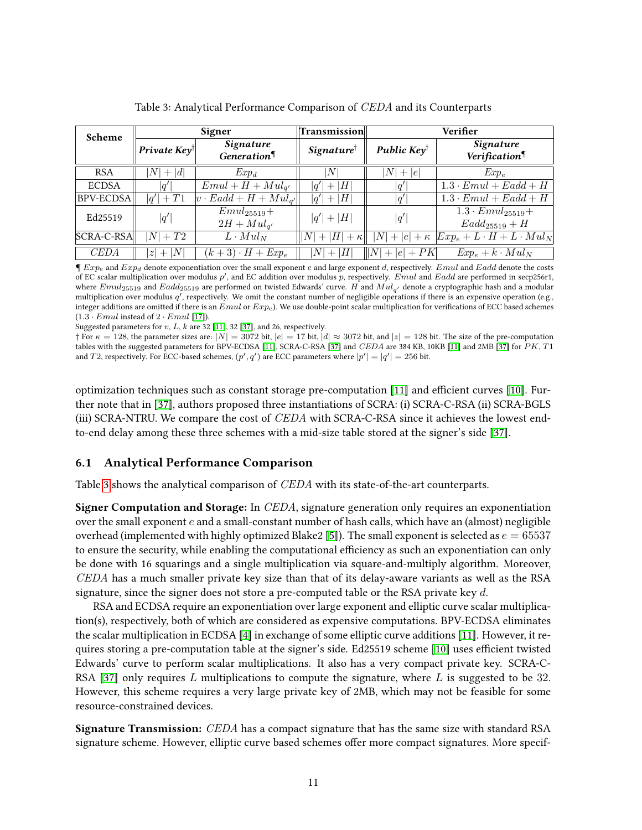<span id="page-10-0"></span>

| Scheme           | Signer                  |                                    | Transmission                      |                        | Verifier                                                  |  |
|------------------|-------------------------|------------------------------------|-----------------------------------|------------------------|-----------------------------------------------------------|--|
|                  | Private $Key^{\dagger}$ | <b>Signature</b><br>Generation     | <i>Signature</i> <sup>†</sup>     | Public $Key^{\dagger}$ | Signature<br>Verification                                 |  |
| <b>RSA</b>       | $N\vert$<br>$+ d $      | $Exp_d$                            | N                                 | N<br>$+ e $            | $Exp_e$                                                   |  |
| <b>ECDSA</b>     | q'                      | $Emul + H + Mul_{q'}$              | H <br>q'<br>$+$                   | q'                     | $\overline{1.3 \cdot Emul + Eadd + H}$                    |  |
| <b>BPV-ECDSA</b> | $ q'  + T1$             | $ v \cdot Eadd + H + Mul_{a'} $    | $+ H $<br> q'                     | q'                     | $1.3 \cdot Emul + Eadd + H$                               |  |
| Ed25519          | q'                      | $Emul_{25519}+$<br>$2H + Mul_{q'}$ | $ q'  +  H $                      | q'                     | $1.3 \cdot Emul_{25519}+$<br>$Eadd_{25519} + H$           |  |
| $ SCRA-C-RSA $   | $ N +T2$                | $L \cdot M u l_N$                  | $+ H +\kappa  $<br>N <sup>1</sup> |                        | $ N + e +\kappa  Exp_e+L\cdot H+L\cdot \overline{Mul_N} $ |  |
| <b>CEDA</b>      | $+ N $<br> z            | $(k+3) \cdot H + Exp_e$            | H <br>N  <br>$+$                  | $  N  +  e  + PK$      | $Exp_e + k \cdot Mul_N$                                   |  |

Table 3: Analytical Performance Comparison of CEDA and its Counterparts

 $\P$   $Exp_e$  and  $Exp_d$  denote exponentiation over the small exponent e and large exponent d, respectively. Emul and Eadd denote the costs of EC scalar multiplication over modulus  $p'$ , and EC addition over modulus  $p$ , respectively. Emul and Eadd are performed in secp256r1, where  $Emul_{25519}$  and  $Eadd_{25519}$  are performed on twisted Edwards' curve.  $H$  and  $Mul_{q^\prime}$  denote a cryptographic hash and a modular multiplication over modulus q', respectively. We omit the constant number of negligible operations if there is an expensive operation (e.g., integer additions are omitted if there is an  $Emul$  or  $Exp_e$ ). We use double-point scalar multiplication for verifications of ECC based schemes  $(1.3 \cdot Emul$  instead of  $2 \cdot Emul$  [\[17\]](#page-14-10)).

Suggested parameters for  $v, L, k$  are 32 [\[11\]](#page-14-2), 32 [\[37\]](#page-16-5), and 26, respectively.

† For  $\kappa = 128$ , the parameter sizes are:  $|N| = 3072$  bit,  $|e| = 17$  bit,  $|d| \approx 3072$  bit, and  $|z| = 128$  bit. The size of the pre-computation tables with the suggested parameters for BPV-ECDSA [\[11\]](#page-14-2), SCRA-C-RSA [\[37\]](#page-16-5) and CEDA are 384 KB, 10KB [\[11\]](#page-14-2) and 2MB [\[37\]](#page-16-5) for PK, T1 and T2, respectively. For ECC-based schemes,  $(p', q')$  are ECC parameters where  $|p'| = |q'| = 256$  bit.

optimization techniques such as constant storage pre-computation  $[11]$  and efficient curves  $[10]$ . Further note that in [\[37\]](#page-16-5), authors proposed three instantiations of SCRA: (i) SCRA-C-RSA (ii) SCRA-BGLS (iii) SCRA-NTRU. We compare the cost of CEDA with SCRA-C-RSA since it achieves the lowest endto-end delay among these three schemes with a mid-size table stored at the signer's side [\[37\]](#page-16-5).

### 6.1 Analytical Performance Comparison

Table [3](#page-10-0) shows the analytical comparison of CEDA with its state-of-the-art counterparts.

Signer Computation and Storage: In CEDA, signature generation only requires an exponentiation over the small exponent  $e$  and a small-constant number of hash calls, which have an (almost) negligible overhead (implemented with highly optimized Blake2 [\[5\]](#page-14-11)). The small exponent is selected as  $e = 65537$ to ensure the security, while enabling the computational efficiency as such an exponentiation can only be done with 16 squarings and a single multiplication via square-and-multiply algorithm. Moreover, CEDA has a much smaller private key size than that of its delay-aware variants as well as the RSA signature, since the signer does not store a pre-computed table or the RSA private key  $d$ .

RSA and ECDSA require an exponentiation over large exponent and elliptic curve scalar multiplication(s), respectively, both of which are considered as expensive computations. BPV-ECDSA eliminates the scalar multiplication in ECDSA [\[4\]](#page-14-0) in exchange of some elliptic curve additions [\[11\]](#page-14-2). However, it re-quires storing a pre-computation table at the signer's side. Ed25519 scheme [\[10\]](#page-14-4) uses efficient twisted Edwards' curve to perform scalar multiplications. It also has a very compact private key. SCRA-C-RSA [\[37\]](#page-16-5) only requires L multiplications to compute the signature, where L is suggested to be 32. However, this scheme requires a very large private key of 2MB, which may not be feasible for some resource-constrained devices.

Signature Transmission: CEDA has a compact signature that has the same size with standard RSA signature scheme. However, elliptic curve based schemes offer more compact signatures. More specif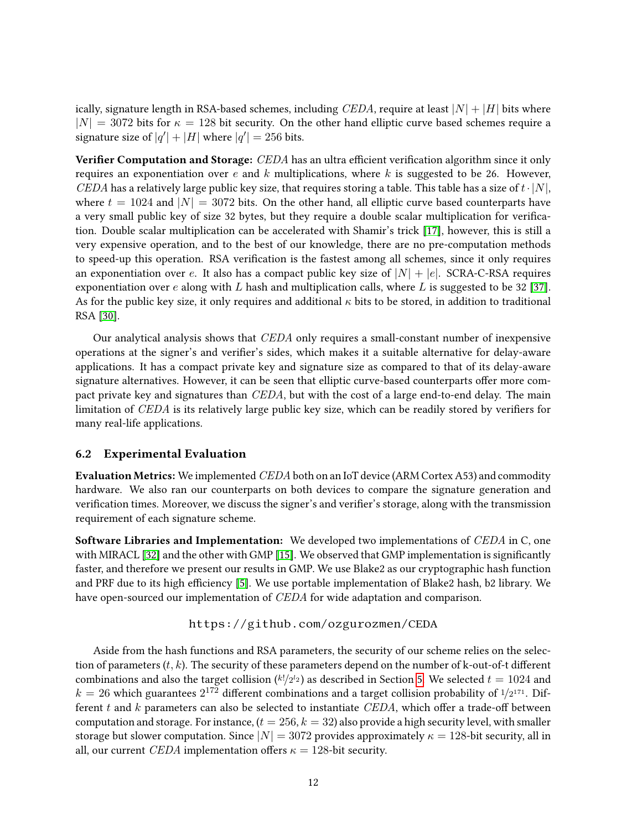ically, signature length in RSA-based schemes, including CEDA, require at least  $|N| + |H|$  bits where  $|N| = 3072$  bits for  $\kappa = 128$  bit security. On the other hand elliptic curve based schemes require a signature size of  $|q'| + |H|$  where  $|q'| = 256$  bits.

**Verifier Computation and Storage:** CEDA has an ultra efficient verification algorithm since it only requires an exponentiation over e and k multiplications, where k is suggested to be 26. However, CEDA has a relatively large public key size, that requires storing a table. This table has a size of  $t \cdot |N|$ , where  $t = 1024$  and  $|N| = 3072$  bits. On the other hand, all elliptic curve based counterparts have a very small public key of size 32 bytes, but they require a double scalar multiplication for verication. Double scalar multiplication can be accelerated with Shamir's trick [\[17\]](#page-14-10), however, this is still a very expensive operation, and to the best of our knowledge, there are no pre-computation methods to speed-up this operation. RSA verification is the fastest among all schemes, since it only requires an exponentiation over e. It also has a compact public key size of  $|N| + |e|$ . SCRA-C-RSA requires exponentiation over  $e$  along with  $L$  hash and multiplication calls, where  $L$  is suggested to be 32 [\[37\]](#page-16-5). As for the public key size, it only requires and additional  $\kappa$  bits to be stored, in addition to traditional RSA [\[30\]](#page-15-2).

Our analytical analysis shows that CEDA only requires a small-constant number of inexpensive operations at the signer's and verifier's sides, which makes it a suitable alternative for delay-aware applications. It has a compact private key and signature size as compared to that of its delay-aware signature alternatives. However, it can be seen that elliptic curve-based counterparts offer more compact private key and signatures than CEDA, but with the cost of a large end-to-end delay. The main limitation of  $CEDA$  is its relatively large public key size, which can be readily stored by verifiers for many real-life applications.

### 6.2 Experimental Evaluation

Evaluation Metrics: We implemented CEDA both on an IoT device (ARM Cortex A53) and commodity hardware. We also ran our counterparts on both devices to compare the signature generation and verification times. Moreover, we discuss the signer's and verifier's storage, along with the transmission requirement of each signature scheme.

Software Libraries and Implementation: We developed two implementations of CEDA in C, one with MIRACL [\[32\]](#page-16-7) and the other with GMP [\[15\]](#page-14-12). We observed that GMP implementation is significantly faster, and therefore we present our results in GMP. We use Blake2 as our cryptographic hash function and PRF due to its high efficiency [\[5\]](#page-14-11). We use portable implementation of Blake2 hash, b2 library. We have open-sourced our implementation of *CEDA* for wide adaptation and comparison.

### https://github.com/ozgurozmen/CEDA

Aside from the hash functions and RSA parameters, the security of our scheme relies on the selection of parameters  $(t, k)$ . The security of these parameters depend on the number of k-out-of-t different combinations and also the target collision ( $k!/_{2^{l_2}}$ ) as described in Section [5.](#page-7-1) We selected  $t = 1024$  and  $k = 26$  which guarantees  $2^{172}$  different combinations and a target collision probability of  $1/2^{171}$ . Different t and  $k$  parameters can also be selected to instantiate CEDA, which offer a trade-off between computation and storage. For instance,  $(t = 256, k = 32)$  also provide a high security level, with smaller storage but slower computation. Since  $|N| = 3072$  provides approximately  $\kappa = 128$ -bit security, all in all, our current *CEDA* implementation offers  $\kappa = 128$ -bit security.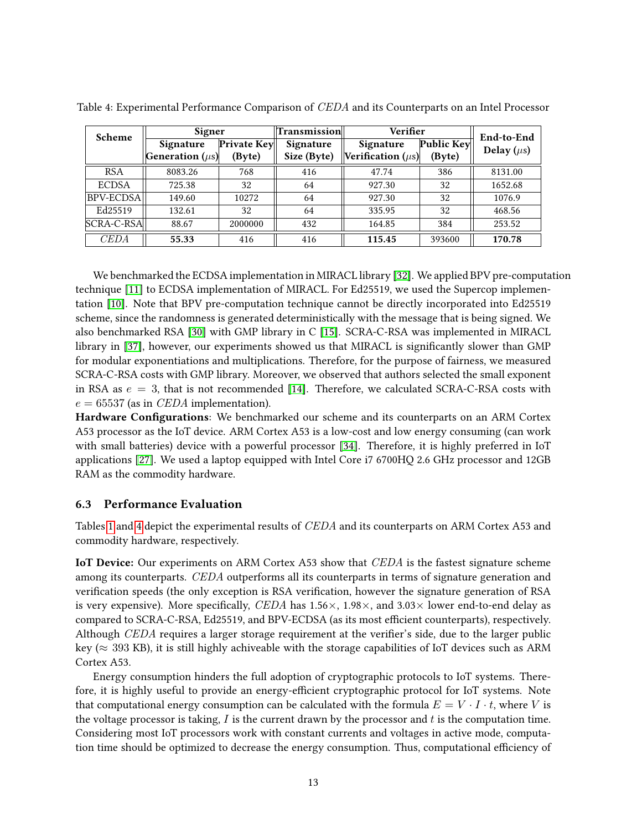| Scheme           | Signer                       |             | Transmission | Verifier               |            | End-to-End      |
|------------------|------------------------------|-------------|--------------|------------------------|------------|-----------------|
|                  | Signature                    | Private Key | Signature    | Signature              | Public Key | Delay $(\mu s)$ |
|                  | <b>Generation</b> ( $\mu$ s) | (Byte)      | Size (Byte)  | Verification $(\mu s)$ | (Byte)     |                 |
| <b>RSA</b>       | 8083.26                      | 768         | 416          | 47.74                  | 386        | 8131.00         |
| <b>ECDSA</b>     | 725.38                       | 32          | 64           | 927.30                 | 32         | 1652.68         |
| <b>BPV-ECDSA</b> | 149.60                       | 10272       | 64           | 927.30                 | 32         | 1076.9          |
| Ed25519          | 132.61                       | 32          | 64           | 335.95                 | 32         | 468.56          |
| SCRA-C-RSA       | 88.67                        | 2000000     | 432          | 164.85                 | 384        | 253.52          |
| CEDA             | 55.33                        | 416         | 416          | 115.45                 | 393600     | 170.78          |

<span id="page-12-0"></span>Table 4: Experimental Performance Comparison of CEDA and its Counterparts on an Intel Processor

We benchmarked the ECDSA implementation in MIRACL library [\[32\]](#page-16-7). We applied BPV pre-computation technique [\[11\]](#page-14-2) to ECDSA implementation of MIRACL. For Ed25519, we used the Supercop implementation [\[10\]](#page-14-4). Note that BPV pre-computation technique cannot be directly incorporated into Ed25519 scheme, since the randomness is generated deterministically with the message that is being signed. We also benchmarked RSA [\[30\]](#page-15-2) with GMP library in C [\[15\]](#page-14-12). SCRA-C-RSA was implemented in MIRACL library in [\[37\]](#page-16-5), however, our experiments showed us that MIRACL is significantly slower than GMP for modular exponentiations and multiplications. Therefore, for the purpose of fairness, we measured SCRA-C-RSA costs with GMP library. Moreover, we observed that authors selected the small exponent in RSA as  $e = 3$ , that is not recommended [\[14\]](#page-14-13). Therefore, we calculated SCRA-C-RSA costs with  $e = 65537$  (as in *CEDA* implementation).

Hardware Configurations: We benchmarked our scheme and its counterparts on an ARM Cortex A53 processor as the IoT device. ARM Cortex A53 is a low-cost and low energy consuming (can work with small batteries) device with a powerful processor [\[34\]](#page-16-8). Therefore, it is highly preferred in IoT applications [\[27\]](#page-15-12). We used a laptop equipped with Intel Core i7 6700HQ 2.6 GHz processor and 12GB RAM as the commodity hardware.

### 6.3 Performance Evaluation

Tables [1](#page-1-0) and [4](#page-12-0) depict the experimental results of CEDA and its counterparts on ARM Cortex A53 and commodity hardware, respectively.

IoT Device: Our experiments on ARM Cortex A53 show that *CEDA* is the fastest signature scheme among its counterparts. CEDA outperforms all its counterparts in terms of signature generation and verification speeds (the only exception is RSA verification, however the signature generation of RSA is very expensive). More specifically, CEDA has  $1.56 \times$ ,  $1.98 \times$ , and  $3.03 \times$  lower end-to-end delay as compared to SCRA-C-RSA, Ed25519, and BPV-ECDSA (as its most efficient counterparts), respectively. Although CEDA requires a larger storage requirement at the verifier's side, due to the larger public key ( $\approx$  393 KB), it is still highly achiveable with the storage capabilities of IoT devices such as ARM Cortex A53.

Energy consumption hinders the full adoption of cryptographic protocols to IoT systems. Therefore, it is highly useful to provide an energy-efficient cryptographic protocol for IoT systems. Note that computational energy consumption can be calculated with the formula  $E = V \cdot I \cdot t$ , where V is the voltage processor is taking,  $I$  is the current drawn by the processor and  $t$  is the computation time. Considering most IoT processors work with constant currents and voltages in active mode, computation time should be optimized to decrease the energy consumption. Thus, computational efficiency of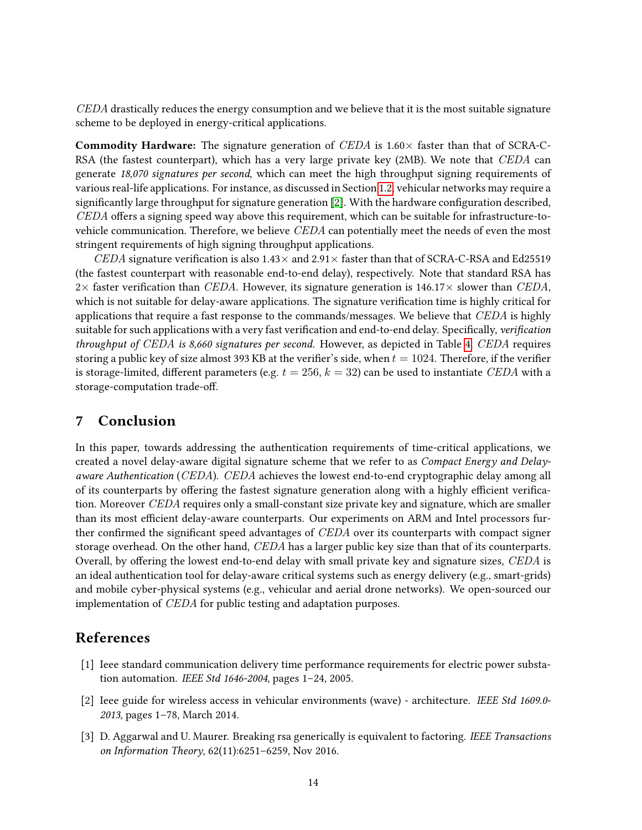CEDA drastically reduces the energy consumption and we believe that it is the most suitable signature scheme to be deployed in energy-critical applications.

**Commodity Hardware:** The signature generation of CEDA is  $1.60 \times$  faster than that of SCRA-C-RSA (the fastest counterpart), which has a very large private key (2MB). We note that CEDA can generate 18,070 signatures per second, which can meet the high throughput signing requirements of various real-life applications. For instance, as discussed in Section [1.2,](#page-1-1) vehicular networks may require a significantly large throughput for signature generation [\[2\]](#page-13-0). With the hardware configuration described,  $\it CEDA$  offers a signing speed way above this requirement, which can be suitable for infrastructure-tovehicle communication. Therefore, we believe CEDA can potentially meet the needs of even the most stringent requirements of high signing throughput applications.

CEDA signature verification is also  $1.43\times$  and  $2.91\times$  faster than that of SCRA-C-RSA and Ed25519 (the fastest counterpart with reasonable end-to-end delay), respectively. Note that standard RSA has 2× faster verification than CEDA. However, its signature generation is 146.17× slower than CEDA, which is not suitable for delay-aware applications. The signature verification time is highly critical for applications that require a fast response to the commands/messages. We believe that CEDA is highly suitable for such applications with a very fast verification and end-to-end delay. Specifically, verification throughput of CEDA is 8,660 signatures per second. However, as depicted in Table [4,](#page-12-0) CEDA requires storing a public key of size almost 393 KB at the verifier's side, when  $t = 1024$ . Therefore, if the verifier is storage-limited, different parameters (e.g.  $t = 256$ ,  $k = 32$ ) can be used to instantiate CEDA with a storage-computation trade-off.

### 7 Conclusion

In this paper, towards addressing the authentication requirements of time-critical applications, we created a novel delay-aware digital signature scheme that we refer to as Compact Energy and Delayaware Authentication (CEDA). CEDA achieves the lowest end-to-end cryptographic delay among all of its counterparts by offering the fastest signature generation along with a highly efficient verification. Moreover CEDA requires only a small-constant size private key and signature, which are smaller than its most efficient delay-aware counterparts. Our experiments on ARM and Intel processors further confirmed the significant speed advantages of  $\mathit{CEDA}$  over its counterparts with compact signer storage overhead. On the other hand, CEDA has a larger public key size than that of its counterparts. Overall, by offering the lowest end-to-end delay with small private key and signature sizes, CEDA is an ideal authentication tool for delay-aware critical systems such as energy delivery (e.g., smart-grids) and mobile cyber-physical systems (e.g., vehicular and aerial drone networks). We open-sourced our implementation of CEDA for public testing and adaptation purposes.

# References

- <span id="page-13-1"></span>[1] Ieee standard communication delivery time performance requirements for electric power substation automation. IEEE Std 1646-2004, pages 1–24, 2005.
- <span id="page-13-0"></span>[2] Ieee guide for wireless access in vehicular environments (wave) - architecture. IEEE Std 1609.0- 2013, pages 1–78, March 2014.
- <span id="page-13-2"></span>[3] D. Aggarwal and U. Maurer. Breaking rsa generically is equivalent to factoring. IEEE Transactions on Information Theory, 62(11):6251–6259, Nov 2016.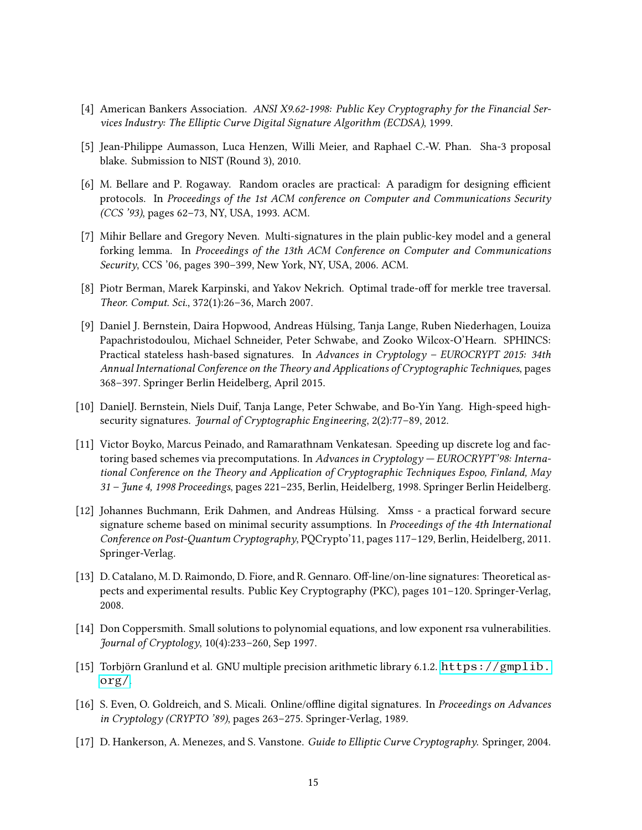- <span id="page-14-0"></span>[4] American Bankers Association. ANSI X9.62-1998: Public Key Cryptography for the Financial Services Industry: The Elliptic Curve Digital Signature Algorithm (ECDSA), 1999.
- <span id="page-14-11"></span>[5] Jean-Philippe Aumasson, Luca Henzen, Willi Meier, and Raphael C.-W. Phan. Sha-3 proposal blake. Submission to NIST (Round 3), 2010.
- <span id="page-14-8"></span>[6] M. Bellare and P. Rogaway. Random oracles are practical: A paradigm for designing efficient protocols. In Proceedings of the 1st ACM conference on Computer and Communications Security (CCS '93), pages 62–73, NY, USA, 1993. ACM.
- <span id="page-14-9"></span>[7] Mihir Bellare and Gregory Neven. Multi-signatures in the plain public-key model and a general forking lemma. In Proceedings of the 13th ACM Conference on Computer and Communications Security, CCS '06, pages 390–399, New York, NY, USA, 2006. ACM.
- <span id="page-14-6"></span>[8] Piotr Berman, Marek Karpinski, and Yakov Nekrich. Optimal trade-off for merkle tree traversal. Theor. Comput. Sci., 372(1):26–36, March 2007.
- <span id="page-14-5"></span>[9] Daniel J. Bernstein, Daira Hopwood, Andreas Hülsing, Tanja Lange, Ruben Niederhagen, Louiza Papachristodoulou, Michael Schneider, Peter Schwabe, and Zooko Wilcox-O'Hearn. SPHINCS: Practical stateless hash-based signatures. In Advances in Cryptology – EUROCRYPT 2015: 34th Annual International Conference on the Theory and Applications of Cryptographic Techniques, pages 368–397. Springer Berlin Heidelberg, April 2015.
- <span id="page-14-4"></span>[10] DanielJ. Bernstein, Niels Duif, Tanja Lange, Peter Schwabe, and Bo-Yin Yang. High-speed highsecurity signatures. Journal of Cryptographic Engineering, 2(2):77–89, 2012.
- <span id="page-14-2"></span>[11] Victor Boyko, Marcus Peinado, and Ramarathnam Venkatesan. Speeding up discrete log and factoring based schemes via precomputations. In Advances in Cryptology - EUROCRYPT'98: International Conference on the Theory and Application of Cryptographic Techniques Espoo, Finland, May 31 – June 4, 1998 Proceedings, pages 221–235, Berlin, Heidelberg, 1998. Springer Berlin Heidelberg.
- <span id="page-14-7"></span>[12] Johannes Buchmann, Erik Dahmen, and Andreas Hülsing. Xmss - a practical forward secure signature scheme based on minimal security assumptions. In Proceedings of the 4th International Conference on Post-Quantum Cryptography, PQCrypto'11, pages 117–129, Berlin, Heidelberg, 2011. Springer-Verlag.
- <span id="page-14-3"></span>[13] D. Catalano, M. D. Raimondo, D. Fiore, and R. Gennaro. Off-line/on-line signatures: Theoretical aspects and experimental results. Public Key Cryptography (PKC), pages 101–120. Springer-Verlag, 2008.
- <span id="page-14-13"></span>[14] Don Coppersmith. Small solutions to polynomial equations, and low exponent rsa vulnerabilities. Journal of Cryptology, 10(4):233–260, Sep 1997.
- <span id="page-14-12"></span>[15] Torbjörn Granlund et al. GNU multiple precision arithmetic library 6.1.2. [https://gmplib.](https://gmplib.org/) [org/](https://gmplib.org/).
- <span id="page-14-1"></span>[16] S. Even, O. Goldreich, and S. Micali. Online/offline digital signatures. In Proceedings on Advances in Cryptology (CRYPTO '89), pages 263–275. Springer-Verlag, 1989.
- <span id="page-14-10"></span>[17] D. Hankerson, A. Menezes, and S. Vanstone. Guide to Elliptic Curve Cryptography. Springer, 2004.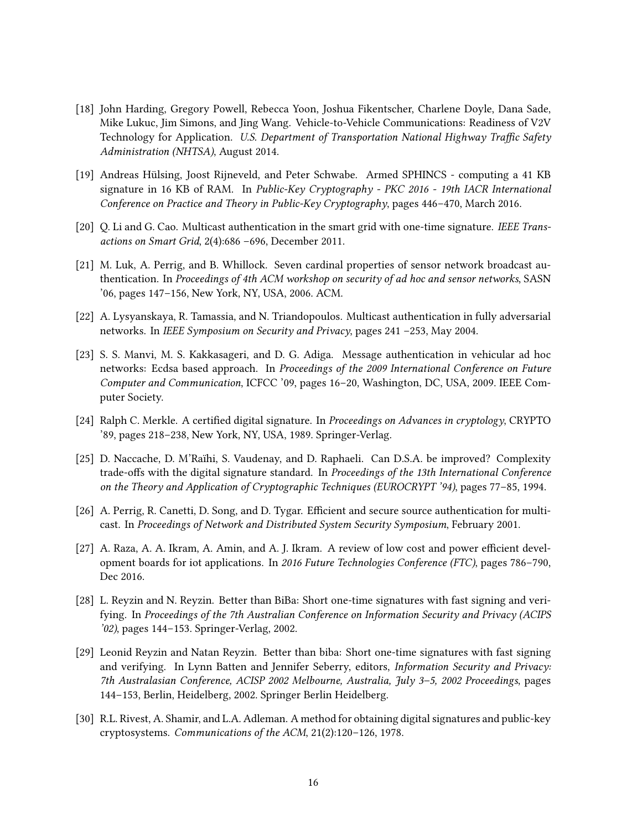- <span id="page-15-1"></span>[18] John Harding, Gregory Powell, Rebecca Yoon, Joshua Fikentscher, Charlene Doyle, Dana Sade, Mike Lukuc, Jim Simons, and Jing Wang. Vehicle-to-Vehicle Communications: Readiness of V2V Technology for Application. U.S. Department of Transportation National Highway Traffic Safety Administration (NHTSA), August 2014.
- <span id="page-15-9"></span>[19] Andreas Hülsing, Joost Rijneveld, and Peter Schwabe. Armed SPHINCS - computing a 41 KB signature in 16 KB of RAM. In Public-Key Cryptography - PKC 2016 - 19th IACR International Conference on Practice and Theory in Public-Key Cryptography, pages 446–470, March 2016.
- <span id="page-15-5"></span>[20] O. Li and G. Cao. Multicast authentication in the smart grid with one-time signature. IEEE Transactions on Smart Grid, 2(4):686 –696, December 2011.
- <span id="page-15-0"></span>[21] M. Luk, A. Perrig, and B. Whillock. Seven cardinal properties of sensor network broadcast authentication. In Proceedings of 4th ACM workshop on security of ad hoc and sensor networks, SASN '06, pages 147–156, New York, NY, USA, 2006. ACM.
- <span id="page-15-7"></span>[22] A. Lysyanskaya, R. Tamassia, and N. Triandopoulos. Multicast authentication in fully adversarial networks. In IEEE Symposium on Security and Privacy, pages 241 –253, May 2004.
- <span id="page-15-3"></span>[23] S. S. Manvi, M. S. Kakkasageri, and D. G. Adiga. Message authentication in vehicular ad hoc networks: Ecdsa based approach. In Proceedings of the 2009 International Conference on Future Computer and Communication, ICFCC '09, pages 16–20, Washington, DC, USA, 2009. IEEE Computer Society.
- <span id="page-15-8"></span>[24] Ralph C. Merkle. A certified digital signature. In Proceedings on Advances in cryptology, CRYPTO '89, pages 218–238, New York, NY, USA, 1989. Springer-Verlag.
- <span id="page-15-10"></span>[25] D. Naccache, D. M'Raïhi, S. Vaudenay, and D. Raphaeli. Can D.S.A. be improved? Complexity trade-offs with the digital signature standard. In Proceedings of the 13th International Conference on the Theory and Application of Cryptographic Techniques (EUROCRYPT '94), pages 77–85, 1994.
- <span id="page-15-6"></span>[26] A. Perrig, R. Canetti, D. Song, and D. Tygar. Efficient and secure source authentication for multicast. In Proceedings of Network and Distributed System Security Symposium, February 2001.
- <span id="page-15-12"></span>[27] A. Raza, A. A. Ikram, A. Amin, and A. J. Ikram. A review of low cost and power efficient development boards for iot applications. In 2016 Future Technologies Conference (FTC), pages 786–790, Dec 2016.
- <span id="page-15-11"></span>[28] L. Reyzin and N. Reyzin. Better than BiBa: Short one-time signatures with fast signing and verifying. In Proceedings of the 7th Australian Conference on Information Security and Privacy (ACIPS '02), pages 144–153. Springer-Verlag, 2002.
- <span id="page-15-4"></span>[29] Leonid Reyzin and Natan Reyzin. Better than biba: Short one-time signatures with fast signing and verifying. In Lynn Batten and Jennifer Seberry, editors, Information Security and Privacy: 7th Australasian Conference, ACISP 2002 Melbourne, Australia, July 3–5, 2002 Proceedings, pages 144–153, Berlin, Heidelberg, 2002. Springer Berlin Heidelberg.
- <span id="page-15-2"></span>[30] R.L. Rivest, A. Shamir, and L.A. Adleman. A method for obtaining digital signatures and public-key cryptosystems. Communications of the ACM, 21(2):120–126, 1978.